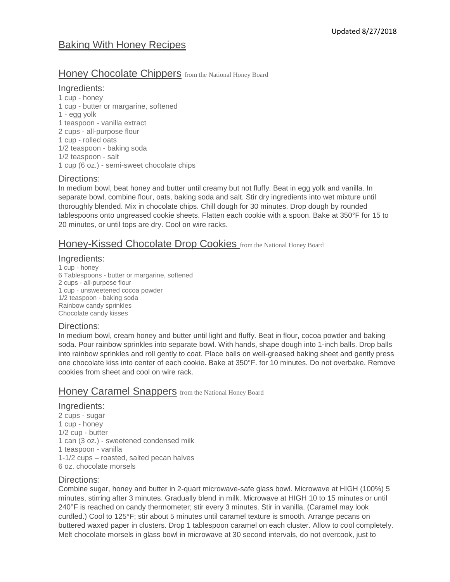# Baking With Honey Recipes

# Honey Chocolate Chippers from the National Honey Board

## Ingredients:

1 cup - honey 1 cup - butter or margarine, softened 1 - egg yolk 1 teaspoon - vanilla extract 2 cups - all-purpose flour 1 cup - rolled oats 1/2 teaspoon - baking soda 1/2 teaspoon - salt 1 cup (6 oz.) - semi-sweet chocolate chips

### Directions:

In medium bowl, beat honey and butter until creamy but not fluffy. Beat in egg yolk and vanilla. In separate bowl, combine flour, oats, baking soda and salt. Stir dry ingredients into wet mixture until thoroughly blended. Mix in chocolate chips. Chill dough for 30 minutes. Drop dough by rounded tablespoons onto ungreased cookie sheets. Flatten each cookie with a spoon. Bake at 350°F for 15 to 20 minutes, or until tops are dry. Cool on wire racks.

# Honey-Kissed Chocolate Drop Cookies from the National Honey Board

### Ingredients:

1 cup - honey 6 Tablespoons - butter or margarine, softened 2 cups - all-purpose flour 1 cup - unsweetened cocoa powder 1/2 teaspoon - baking soda Rainbow candy sprinkles Chocolate candy kisses

# Directions:

In medium bowl, cream honey and butter until light and fluffy. Beat in flour, cocoa powder and baking soda. Pour rainbow sprinkles into separate bowl. With hands, shape dough into 1-inch balls. Drop balls into rainbow sprinkles and roll gently to coat. Place balls on well-greased baking sheet and gently press one chocolate kiss into center of each cookie. Bake at 350°F. for 10 minutes. Do not overbake. Remove cookies from sheet and cool on wire rack.

# Honey Caramel Snappers from the National Honey Board

Ingredients: 2 cups - sugar 1 cup - honey 1/2 cup - butter 1 can (3 oz.) - sweetened condensed milk 1 teaspoon - vanilla 1-1/2 cups – roasted, salted pecan halves 6 oz. chocolate morsels

# Directions:

Combine sugar, honey and butter in 2-quart microwave-safe glass bowl. Microwave at HIGH (100%) 5 minutes, stirring after 3 minutes. Gradually blend in milk. Microwave at HIGH 10 to 15 minutes or until 240°F is reached on candy thermometer; stir every 3 minutes. Stir in vanilla. (Caramel may look curdled.) Cool to 125°F; stir about 5 minutes until caramel texture is smooth. Arrange pecans on buttered waxed paper in clusters. Drop 1 tablespoon caramel on each cluster. Allow to cool completely. Melt chocolate morsels in glass bowl in microwave at 30 second intervals, do not overcook, just to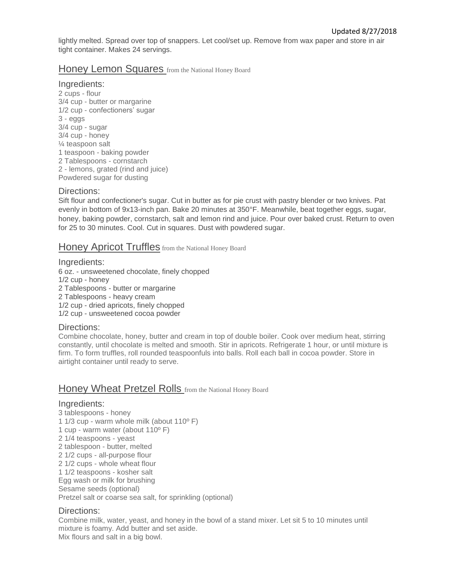lightly melted. Spread over top of snappers. Let cool/set up. Remove from wax paper and store in air tight container. Makes 24 servings.

# Honey Lemon Squares from the National Honey Board

## Ingredients:

2 cups - flour 3/4 cup - butter or margarine 1/2 cup - confectioners' sugar 3 - eggs 3/4 cup - sugar 3/4 cup - honey ¼ teaspoon salt 1 teaspoon - baking powder 2 Tablespoons - cornstarch 2 - lemons, grated (rind and juice) Powdered sugar for dusting

### Directions:

Sift flour and confectioner's sugar. Cut in butter as for pie crust with pastry blender or two knives. Pat evenly in bottom of 9x13-inch pan. Bake 20 minutes at 350°F. Meanwhile, beat together eggs, sugar, honey, baking powder, cornstarch, salt and lemon rind and juice. Pour over baked crust. Return to oven for 25 to 30 minutes. Cool. Cut in squares. Dust with powdered sugar.

# Honey Apricot Truffles from the National Honey Board

Ingredients: 6 oz. - unsweetened chocolate, finely chopped 1/2 cup - honey 2 Tablespoons - butter or margarine 2 Tablespoons - heavy cream 1/2 cup - dried apricots, finely chopped 1/2 cup - unsweetened cocoa powder

#### Directions:

Combine chocolate, honey, butter and cream in top of double boiler. Cook over medium heat, stirring constantly, until chocolate is melted and smooth. Stir in apricots. Refrigerate 1 hour, or until mixture is firm. To form truffles, roll rounded teaspoonfuls into balls. Roll each ball in cocoa powder. Store in airtight container until ready to serve.

# Honey Wheat Pretzel Rolls from the National Honey Board

#### Ingredients:

3 tablespoons - honey 1 1/3 cup - warm whole milk (about 110º F) 1 cup - warm water (about 110º F) 2 1/4 teaspoons - yeast 2 tablespoon - butter, melted 2 1/2 cups - all-purpose flour 2 1/2 cups - whole wheat flour 1 1/2 teaspoons - kosher salt Egg wash or milk for brushing Sesame seeds (optional) Pretzel salt or coarse sea salt, for sprinkling (optional)

# Directions:

Combine milk, water, yeast, and honey in the bowl of a stand mixer. Let sit 5 to 10 minutes until mixture is foamy. Add butter and set aside. Mix flours and salt in a big bowl.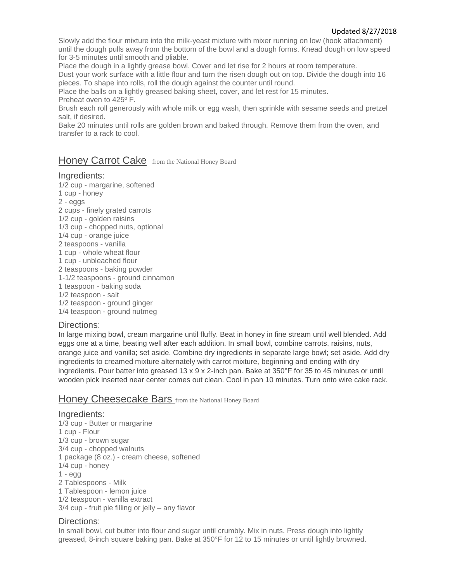Slowly add the flour mixture into the milk-yeast mixture with mixer running on low (hook attachment) until the dough pulls away from the bottom of the bowl and a dough forms. Knead dough on low speed for 3-5 minutes until smooth and pliable.

Place the dough in a lightly grease bowl. Cover and let rise for 2 hours at room temperature.

Dust your work surface with a little flour and turn the risen dough out on top. Divide the dough into 16 pieces. To shape into rolls, roll the dough against the counter until round.

Place the balls on a lightly greased baking sheet, cover, and let rest for 15 minutes. Preheat oven to 425º F.

Brush each roll generously with whole milk or egg wash, then sprinkle with sesame seeds and pretzel salt, if desired.

Bake 20 minutes until rolls are golden brown and baked through. Remove them from the oven, and transfer to a rack to cool.

# Honey Carrot Cake from the National Honey Board

### Ingredients:

1/2 cup - margarine, softened 1 cup - honey 2 - eggs 2 cups - finely grated carrots 1/2 cup - golden raisins 1/3 cup - chopped nuts, optional 1/4 cup - orange juice 2 teaspoons - vanilla 1 cup - whole wheat flour 1 cup - unbleached flour 2 teaspoons - baking powder 1-1/2 teaspoons - ground cinnamon 1 teaspoon - baking soda 1/2 teaspoon - salt 1/2 teaspoon - ground ginger 1/4 teaspoon - ground nutmeg

# Directions:

In large mixing bowl, cream margarine until fluffy. Beat in honey in fine stream until well blended. Add eggs one at a time, beating well after each addition. In small bowl, combine carrots, raisins, nuts, orange juice and vanilla; set aside. Combine dry ingredients in separate large bowl; set aside. Add dry ingredients to creamed mixture alternately with carrot mixture, beginning and ending with dry ingredients. Pour batter into greased 13 x 9 x 2-inch pan. Bake at 350°F for 35 to 45 minutes or until wooden pick inserted near center comes out clean. Cool in pan 10 minutes. Turn onto wire cake rack.

# Honey Cheesecake Bars from the National Honey Board

# Ingredients:

1/3 cup - Butter or margarine 1 cup - Flour 1/3 cup - brown sugar 3/4 cup - chopped walnuts 1 package (8 oz.) - cream cheese, softened 1/4 cup - honey  $1 - e$ gg 2 Tablespoons - Milk 1 Tablespoon - lemon juice 1/2 teaspoon - vanilla extract 3/4 cup - fruit pie filling or jelly – any flavor

#### Directions:

In small bowl, cut butter into flour and sugar until crumbly. Mix in nuts. Press dough into lightly greased, 8-inch square baking pan. Bake at 350°F for 12 to 15 minutes or until lightly browned.